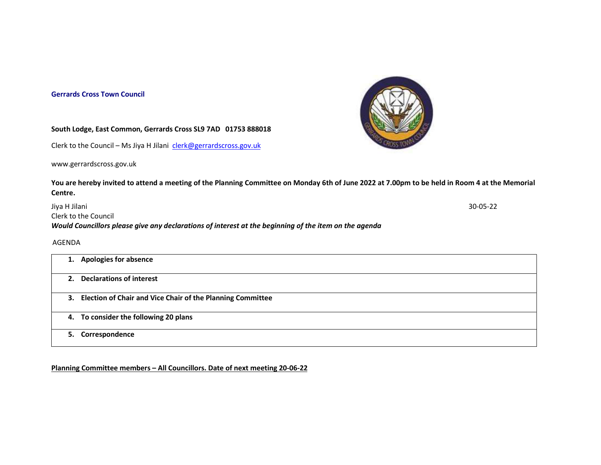## Gerrards Cross Town Council



## South Lodge, East Common, Gerrards Cross SL9 7AD 01753 888018

Clerk to the Council – Ms Jiya H Jilani clerk@gerrardscross.gov.uk

www.gerrardscross.gov.uk

## You are hereby invited to attend a meeting of the Planning Committee on Monday 6th of June 2022 at 7.00pm to be held in Room 4 at the Memorial Centre.

Jiya H Jilani 30-05-22 Clerk to the Council Would Councillors please give any declarations of interest at the beginning of the item on the agenda

## AGENDA

| 1. Apologies for absence                                      |
|---------------------------------------------------------------|
| 2. Declarations of interest                                   |
| 3. Election of Chair and Vice Chair of the Planning Committee |
| 4. To consider the following 20 plans                         |
| 5. Correspondence                                             |

Planning Committee members – All Councillors. Date of next meeting 20-06-22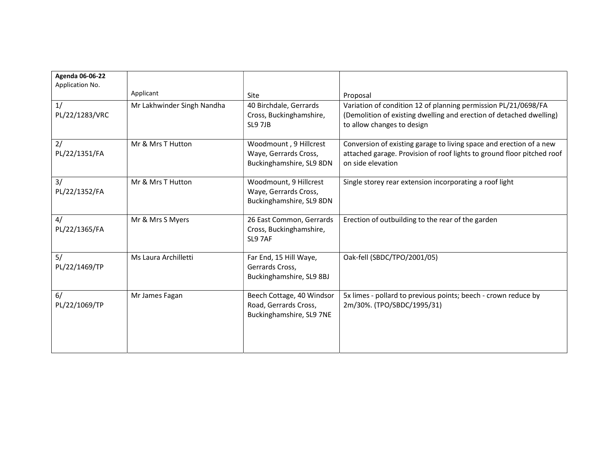| <b>Agenda 06-06-22</b><br>Application No. |                            |                                                                                |                                                                                                                                                                     |
|-------------------------------------------|----------------------------|--------------------------------------------------------------------------------|---------------------------------------------------------------------------------------------------------------------------------------------------------------------|
|                                           | Applicant                  | Site                                                                           | Proposal                                                                                                                                                            |
| 1/<br>PL/22/1283/VRC                      | Mr Lakhwinder Singh Nandha | 40 Birchdale, Gerrards<br>Cross, Buckinghamshire,<br><b>SL9 7JB</b>            | Variation of condition 12 of planning permission PL/21/0698/FA<br>(Demolition of existing dwelling and erection of detached dwelling)<br>to allow changes to design |
| 2/<br>PL/22/1351/FA                       | Mr & Mrs T Hutton          | Woodmount, 9 Hillcrest<br>Waye, Gerrards Cross,<br>Buckinghamshire, SL9 8DN    | Conversion of existing garage to living space and erection of a new<br>attached garage. Provision of roof lights to ground floor pitched roof<br>on side elevation  |
| 3/<br>PL/22/1352/FA                       | Mr & Mrs T Hutton          | Woodmount, 9 Hillcrest<br>Waye, Gerrards Cross,<br>Buckinghamshire, SL9 8DN    | Single storey rear extension incorporating a roof light                                                                                                             |
| 4/<br>PL/22/1365/FA                       | Mr & Mrs S Myers           | 26 East Common, Gerrards<br>Cross, Buckinghamshire,<br>SL9 7AF                 | Erection of outbuilding to the rear of the garden                                                                                                                   |
| 5/<br>PL/22/1469/TP                       | Ms Laura Archilletti       | Far End, 15 Hill Waye,<br>Gerrards Cross,<br>Buckinghamshire, SL9 8BJ          | Oak-fell (SBDC/TPO/2001/05)                                                                                                                                         |
| 6/<br>PL/22/1069/TP                       | Mr James Fagan             | Beech Cottage, 40 Windsor<br>Road, Gerrards Cross,<br>Buckinghamshire, SL9 7NE | 5x limes - pollard to previous points; beech - crown reduce by<br>2m/30%. (TPO/SBDC/1995/31)                                                                        |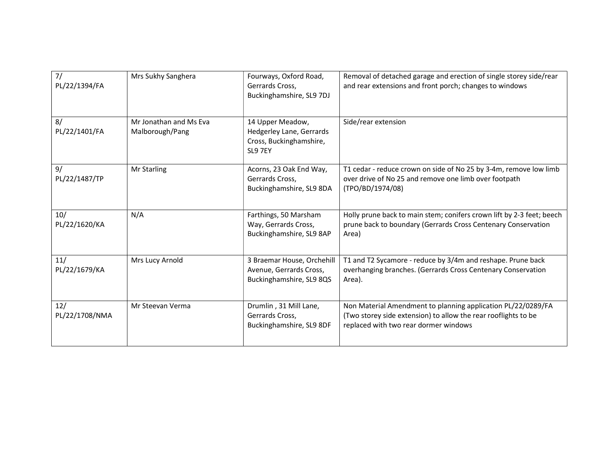| 7/<br>PL/22/1394/FA   | Mrs Sukhy Sanghera                        | Fourways, Oxford Road,<br>Gerrards Cross,<br>Buckinghamshire, SL9 7DJ              | Removal of detached garage and erection of single storey side/rear<br>and rear extensions and front porch; changes to windows                                           |
|-----------------------|-------------------------------------------|------------------------------------------------------------------------------------|-------------------------------------------------------------------------------------------------------------------------------------------------------------------------|
| 8/<br>PL/22/1401/FA   | Mr Jonathan and Ms Eva<br>Malborough/Pang | 14 Upper Meadow,<br>Hedgerley Lane, Gerrards<br>Cross, Buckinghamshire,<br>SL9 7EY | Side/rear extension                                                                                                                                                     |
| 9/<br>PL/22/1487/TP   | Mr Starling                               | Acorns, 23 Oak End Way,<br>Gerrards Cross,<br>Buckinghamshire, SL9 8DA             | T1 cedar - reduce crown on side of No 25 by 3-4m, remove low limb<br>over drive of No 25 and remove one limb over footpath<br>(TPO/BD/1974/08)                          |
| 10/<br>PL/22/1620/KA  | N/A                                       | Farthings, 50 Marsham<br>Way, Gerrards Cross,<br>Buckinghamshire, SL9 8AP          | Holly prune back to main stem; conifers crown lift by 2-3 feet; beech<br>prune back to boundary (Gerrards Cross Centenary Conservation<br>Area)                         |
| 11/<br>PL/22/1679/KA  | Mrs Lucy Arnold                           | 3 Braemar House, Orchehill<br>Avenue, Gerrards Cross,<br>Buckinghamshire, SL9 8QS  | T1 and T2 Sycamore - reduce by 3/4m and reshape. Prune back<br>overhanging branches. (Gerrards Cross Centenary Conservation<br>Area).                                   |
| 12/<br>PL/22/1708/NMA | Mr Steevan Verma                          | Drumlin, 31 Mill Lane,<br>Gerrards Cross,<br>Buckinghamshire, SL9 8DF              | Non Material Amendment to planning application PL/22/0289/FA<br>(Two storey side extension) to allow the rear rooflights to be<br>replaced with two rear dormer windows |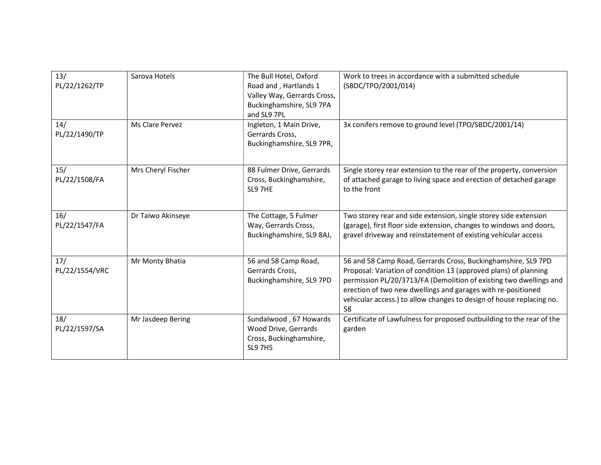| 13/<br>PL/22/1262/TP  | Sarova Hotels      | The Bull Hotel, Oxford<br>Road and, Hartlands 1<br>Valley Way, Gerrards Cross,<br>Buckinghamshire, SL9 7PA<br>and SL9 7PL | Work to trees in accordance with a submitted schedule<br>(SBDC/TPO/2001/014)                                                                                                                                                                                                                                                                          |
|-----------------------|--------------------|---------------------------------------------------------------------------------------------------------------------------|-------------------------------------------------------------------------------------------------------------------------------------------------------------------------------------------------------------------------------------------------------------------------------------------------------------------------------------------------------|
| 14/<br>PL/22/1490/TP  | Ms Clare Pervez    | Ingleton, 1 Main Drive,<br>Gerrards Cross,<br>Buckinghamshire, SL9 7PR,                                                   | 3x conifers remove to ground level (TPO/SBDC/2001/14)                                                                                                                                                                                                                                                                                                 |
| 15/<br>PL/22/1508/FA  | Mrs Cheryl Fischer | 88 Fulmer Drive, Gerrards<br>Cross, Buckinghamshire,<br>SL9 7HE                                                           | Single storey rear extension to the rear of the property, conversion<br>of attached garage to living space and erection of detached garage<br>to the front                                                                                                                                                                                            |
| 16/<br>PL/22/1547/FA  | Dr Taiwo Akinseye  | The Cottage, 5 Fulmer<br>Way, Gerrards Cross,<br>Buckinghamshire, SL9 8AJ,                                                | Two storey rear and side extension, single storey side extension<br>(garage), first floor side extension, changes to windows and doors,<br>gravel driveway and reinstatement of existing vehicular access                                                                                                                                             |
| 17/<br>PL/22/1554/VRC | Mr Monty Bhatia    | 56 and 58 Camp Road,<br>Gerrards Cross,<br>Buckinghamshire, SL9 7PD                                                       | 56 and 58 Camp Road, Gerrards Cross, Buckinghamshire, SL9 7PD<br>Proposal: Variation of condition 13 (approved plans) of planning<br>permission PL/20/3713/FA (Demolition of existing two dwellings and<br>erection of two new dwellings and garages with re-positioned<br>vehicular access.) to allow changes to design of house replacing no.<br>58 |
| 18/<br>PL/22/1597/SA  | Mr Jasdeep Bering  | Sundalwood, 67 Howards<br>Wood Drive, Gerrards<br>Cross, Buckinghamshire,<br>SL9 7HS                                      | Certificate of Lawfulness for proposed outbuilding to the rear of the<br>garden                                                                                                                                                                                                                                                                       |